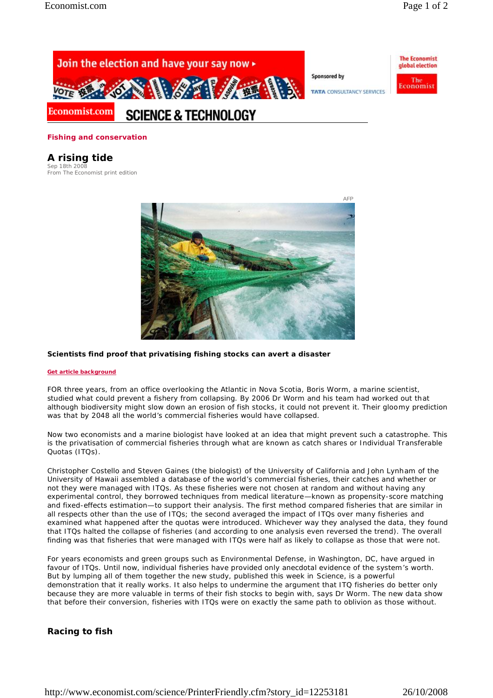**The Economist** 

global election

The

Economis



#### **Fishing and conservation**

# **A rising tide**

Sep 18th 2008 From The Economist print edition



### **Scientists find proof that privatising fishing stocks can avert a disaster**

#### **Get article background**

FOR three years, from an office overlooking the Atlantic in Nova Scotia, Boris Worm, a marine scientist, studied what could prevent a fishery from collapsing. By 2006 Dr Worm and his team had worked out that although biodiversity might slow down an erosion of fish stocks, it could not prevent it. Their gloomy prediction was that by 2048 all the world's commercial fisheries would have collapsed.

Now two economists and a marine biologist have looked at an idea that might prevent such a catastrophe. This is the privatisation of commercial fisheries through what are known as catch shares or Individual Transferable Quotas (ITQs).

Christopher Costello and Steven Gaines (the biologist) of the University of California and John Lynham of the University of Hawaii assembled a database of the world's commercial fisheries, their catches and whether or not they were managed with ITQs. As these fisheries were not chosen at random and without having any experimental control, they borrowed techniques from medical literature—known as propensity-score matching and fixed-effects estimation—to support their analysis. The first method compared fisheries that are similar in all respects other than the use of ITQs; the second averaged the impact of ITQs over many fisheries and examined what happened after the quotas were introduced. Whichever way they analysed the data, they found that ITQs halted the collapse of fisheries (and according to one analysis even reversed the trend). The overall finding was that fisheries that were managed with ITQs were half as likely to collapse as those that were not.

For years economists and green groups such as Environmental Defense, in Washington, DC, have argued in favour of ITQs. Until now, individual fisheries have provided only anecdotal evidence of the system's worth. But by lumping all of them together the new study, published this week in *Science*, is a powerful demonstration that it really works. It also helps to undermine the argument that ITQ fisheries do better only because they are more valuable in terms of their fish stocks to begin with, says Dr Worm. The new data show that before their conversion, fisheries with ITQs were on exactly the same path to oblivion as those without.

## **Racing to fish**

http://www.economist.com/science/PrinterFriendly.cfm?story\_id=12253181 26/10/2008